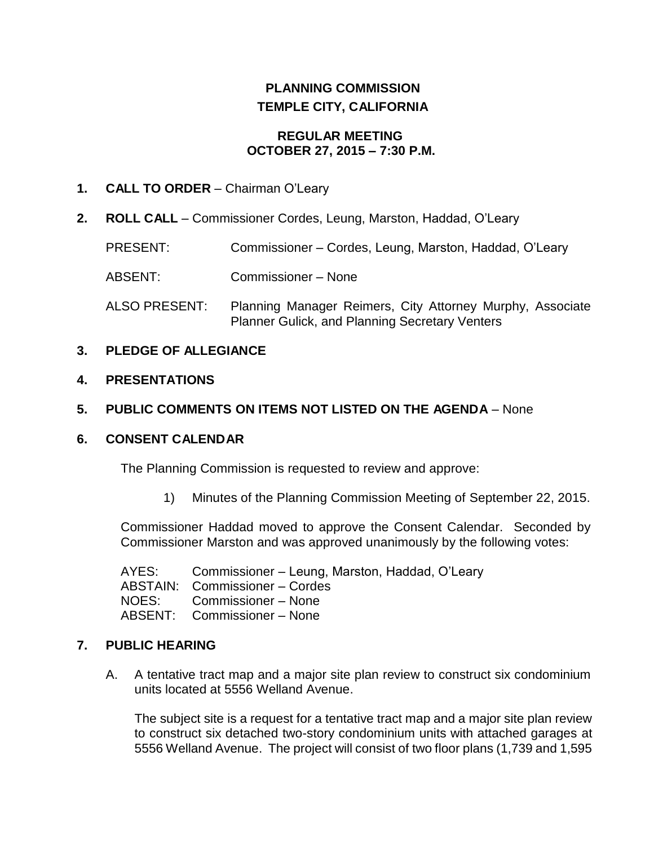# **PLANNING COMMISSION TEMPLE CITY, CALIFORNIA**

### **REGULAR MEETING OCTOBER 27, 2015 – 7:30 P.M.**

### **1. CALL TO ORDER** – Chairman O'Leary

**2. ROLL CALL** – Commissioner Cordes, Leung, Marston, Haddad, O'Leary

PRESENT: Commissioner – Cordes, Leung, Marston, Haddad, O'Leary

ABSENT: Commissioner – None

ALSO PRESENT: Planning Manager Reimers, City Attorney Murphy, Associate Planner Gulick, and Planning Secretary Venters

### **3. PLEDGE OF ALLEGIANCE**

#### **4. PRESENTATIONS**

# **5. PUBLIC COMMENTS ON ITEMS NOT LISTED ON THE AGENDA** – None

### **6. CONSENT CALENDAR**

The Planning Commission is requested to review and approve:

1) Minutes of the Planning Commission Meeting of September 22, 2015.

Commissioner Haddad moved to approve the Consent Calendar. Seconded by Commissioner Marston and was approved unanimously by the following votes:

AYES: Commissioner – Leung, Marston, Haddad, O'Leary ABSTAIN: Commissioner – Cordes NOES: Commissioner – None ABSENT: Commissioner – None

### **7. PUBLIC HEARING**

A. [A tentative tract map and a major site plan review to construct six condominium](http://ca-templecity.civicplus.com/DocumentCenter/View/4547)  units [located at 5556 Welland Avenue.](http://ca-templecity.civicplus.com/DocumentCenter/View/4547)

The subject site is a request for a tentative tract map and a major site plan review to construct six detached two-story condominium units with attached garages at 5556 Welland Avenue. The project will consist of two floor plans (1,739 and 1,595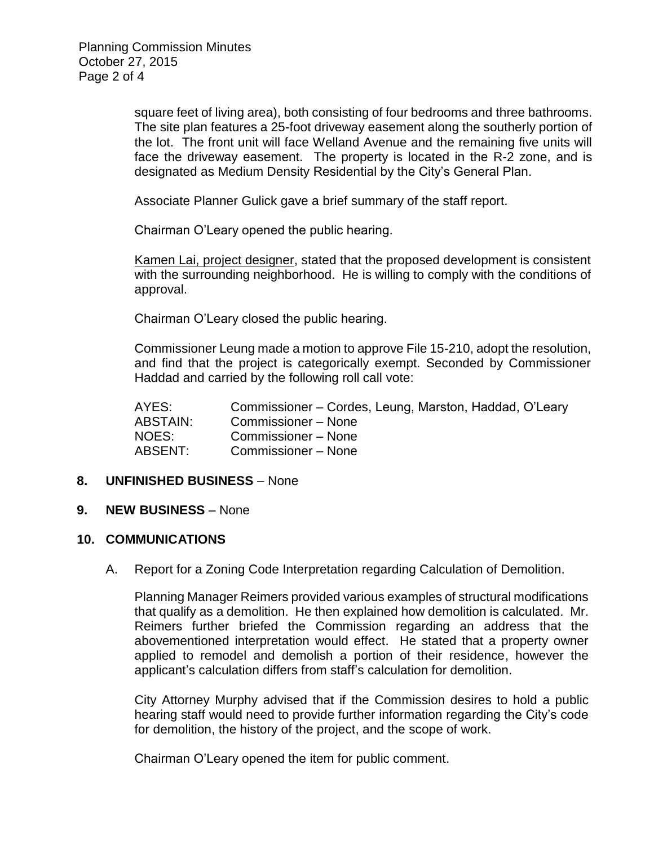square feet of living area), both consisting of four bedrooms and three bathrooms. The site plan features a 25-foot driveway easement along the southerly portion of the lot. The front unit will face Welland Avenue and the remaining five units will face the driveway easement. The property is located in the R-2 zone, and is designated as Medium Density Residential by the City's General Plan.

Associate Planner Gulick gave a brief summary of the staff report.

Chairman O'Leary opened the public hearing.

Kamen Lai, project designer, stated that the proposed development is consistent with the surrounding neighborhood. He is willing to comply with the conditions of approval.

Chairman O'Leary closed the public hearing.

Commissioner Leung made a motion to approve File 15-210, adopt the resolution, and find that the project is categorically exempt. Seconded by Commissioner Haddad and carried by the following roll call vote:

| AYES:           | Commissioner – Cordes, Leung, Marston, Haddad, O'Leary |
|-----------------|--------------------------------------------------------|
| <b>ABSTAIN:</b> | Commissioner – None                                    |
| NOES:           | Commissioner – None                                    |
| ABSENT:         | Commissioner – None                                    |

### **8. UNFINISHED BUSINESS** – None

### **9. NEW BUSINESS** – None

### **10. COMMUNICATIONS**

A. Report for a Zoning Code Interpretation regarding Calculation of Demolition.

Planning Manager Reimers provided various examples of structural modifications that qualify as a demolition. He then explained how demolition is calculated. Mr. Reimers further briefed the Commission regarding an address that the abovementioned interpretation would effect. He stated that a property owner applied to remodel and demolish a portion of their residence, however the applicant's calculation differs from staff's calculation for demolition.

City Attorney Murphy advised that if the Commission desires to hold a public hearing staff would need to provide further information regarding the City's code for demolition, the history of the project, and the scope of work.

Chairman O'Leary opened the item for public comment.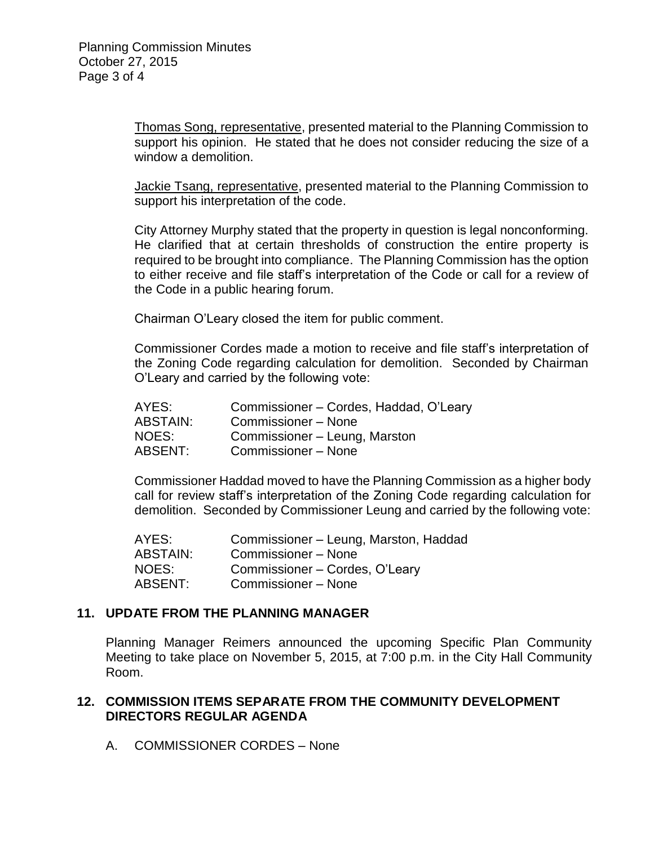Thomas Song, representative, presented material to the Planning Commission to support his opinion. He stated that he does not consider reducing the size of a window a demolition.

Jackie Tsang, representative, presented material to the Planning Commission to support his interpretation of the code.

City Attorney Murphy stated that the property in question is legal nonconforming. He clarified that at certain thresholds of construction the entire property is required to be brought into compliance. The Planning Commission has the option to either receive and file staff's interpretation of the Code or call for a review of the Code in a public hearing forum.

Chairman O'Leary closed the item for public comment.

Commissioner Cordes made a motion to receive and file staff's interpretation of the Zoning Code regarding calculation for demolition. Seconded by Chairman O'Leary and carried by the following vote:

| AYES:           | Commissioner - Cordes, Haddad, O'Leary |
|-----------------|----------------------------------------|
| <b>ABSTAIN:</b> | Commissioner - None                    |
| NOES:           | Commissioner - Leung, Marston          |
| ABSENT:         | Commissioner – None                    |

Commissioner Haddad moved to have the Planning Commission as a higher body call for review staff's interpretation of the Zoning Code regarding calculation for demolition. Seconded by Commissioner Leung and carried by the following vote:

AYES: Commissioner – Leung, Marston, Haddad ABSTAIN: Commissioner – None NOES: Commissioner – Cordes, O'Leary ABSENT: Commissioner – None

#### **11. UPDATE FROM THE PLANNING MANAGER**

Planning Manager Reimers announced the upcoming Specific Plan Community Meeting to take place on November 5, 2015, at 7:00 p.m. in the City Hall Community Room.

# **12. COMMISSION ITEMS SEPARATE FROM THE COMMUNITY DEVELOPMENT DIRECTORS REGULAR AGENDA**

A. COMMISSIONER CORDES – None